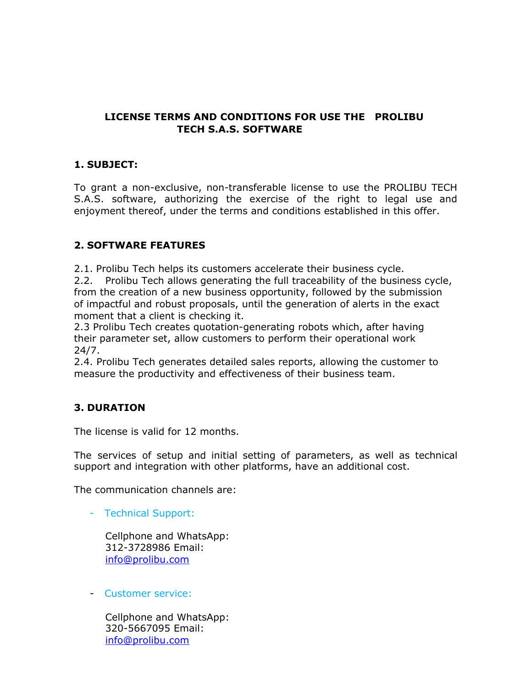## **LICENSE TERMS AND CONDITIONS FOR USE THE PROLIBU TECH S.A.S. SOFTWARE**

## **1. SUBJECT:**

To grant a non-exclusive, non-transferable license to use the PROLIBU TECH S.A.S. software, authorizing the exercise of the right to legal use and enjoyment thereof, under the terms and conditions established in this offer.

## **2. SOFTWARE FEATURES**

2.1. Prolibu Tech helps its customers accelerate their business cycle.

2.2. Prolibu Tech allows generating the full traceability of the business cycle, from the creation of a new business opportunity, followed by the submission of impactful and robust proposals, until the generation of alerts in the exact moment that a client is checking it.

2.3 Prolibu Tech creates quotation-generating robots which, after having their parameter set, allow customers to perform their operational work 24/7.

2.4. Prolibu Tech generates detailed sales reports, allowing the customer to measure the productivity and effectiveness of their business team.

# **3. DURATION**

The license is valid for 12 months.

The services of setup and initial setting of parameters, as well as technical support and integration with other platforms, have an additional cost.

The communication channels are:

- Technical Support:

Cellphone and WhatsApp: 312-3728986 Email: [info@prolibu.com](mailto:info@prolibu.com)

- Customer service:

Cellphone and WhatsApp: 320-5667095 Email: [info@prolibu.com](mailto:info@prolibu.com)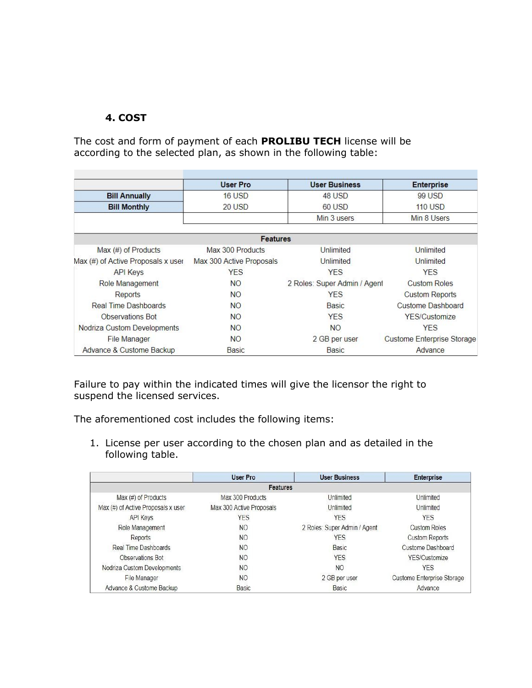## **4. COST**

The cost and form of payment of each **PROLIBU TECH** license will be according to the selected plan, as shown in the following table:

|                                    | <b>User Pro</b>          | <b>User Business</b>         | <b>Enterprise</b>          |  |
|------------------------------------|--------------------------|------------------------------|----------------------------|--|
| <b>Bill Annually</b>               | 16 USD                   | 48 USD                       | 99 USD                     |  |
| <b>Bill Monthly</b>                | 20 USD                   | 60 USD                       | $110$ USD                  |  |
|                                    |                          | Min 3 users                  | Min 8 Users                |  |
|                                    | <b>Features</b>          |                              |                            |  |
| Max $(\#)$ of Products             | Max 300 Products         | Unlimited                    | Unlimited                  |  |
| Max (#) of Active Proposals x user | Max 300 Active Proposals | Unlimited                    | Unlimited                  |  |
| <b>API Keys</b>                    | <b>YES</b>               | <b>YES</b>                   | <b>YES</b>                 |  |
| Role Management                    | <b>NO</b>                | 2 Roles: Super Admin / Agent | <b>Custom Roles</b>        |  |
| Reports                            | <b>NO</b>                | <b>YES</b>                   | <b>Custom Reports</b>      |  |
| Real Time Dashboards               | <b>NO</b>                | Basic                        | <b>Custome Dashboard</b>   |  |
| <b>Observations Bot</b>            | <b>NO</b>                | <b>YES</b>                   | <b>YES/Customize</b>       |  |
| Nodriza Custom Developments        | <b>NO</b>                | <b>NO</b>                    | <b>YES</b>                 |  |
| <b>File Manager</b>                | <b>NO</b>                | 2 GB per user                | Custome Enterprise Storage |  |
| Advance & Custome Backup           | Basic                    | <b>Basic</b>                 | Advance                    |  |

Failure to pay within the indicated times will give the licensor the right to suspend the licensed services.

The aforementioned cost includes the following items:

1. License per user according to the chosen plan and as detailed in the following table.

|                                    | User Pro                 | <b>User Business</b>         | <b>Enterprise</b>          |  |
|------------------------------------|--------------------------|------------------------------|----------------------------|--|
| Features                           |                          |                              |                            |  |
| Max (#) of Products                | Max 300 Products         | Unlimited                    | Unlimited                  |  |
| Max (#) of Active Proposals x user | Max 300 Active Proposals | Unlimited                    | Unlimited                  |  |
| <b>API Keys</b>                    | YES                      | <b>YES</b>                   | YES                        |  |
| Role Management                    | NO.                      | 2 Roles: Super Admin / Agent | <b>Custom Roles</b>        |  |
| Reports                            | <b>NO</b>                | <b>YES</b>                   | <b>Custom Reports</b>      |  |
| Real Time Dashboards               | N <sub>O</sub>           | Basic                        | <b>Custome Dashboard</b>   |  |
| Observations Bot                   | N <sub>O</sub>           | <b>YES</b>                   | YES/Customize              |  |
| Nodriza Custom Developments        | <b>NO</b>                | NO                           | <b>YES</b>                 |  |
| File Manager                       | NO                       | 2 GB per user                | Custome Enterprise Storage |  |
| Advance & Custome Backup           | Basic                    | Basic                        | Advance                    |  |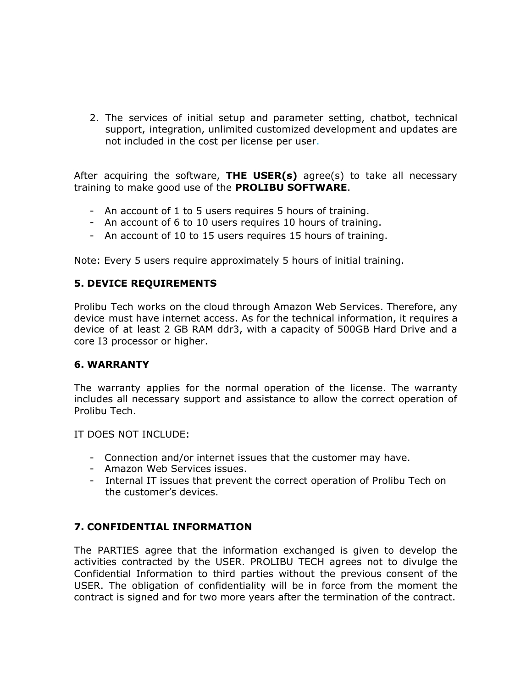2. The services of initial setup and parameter setting, chatbot, technical support, integration, unlimited customized development and updates are not included in the cost per license per user.

After acquiring the software, **THE USER(s)** agree(s) to take all necessary training to make good use of the **PROLIBU SOFTWARE**.

- An account of 1 to 5 users requires 5 hours of training.
- An account of 6 to 10 users requires 10 hours of training.
- An account of 10 to 15 users requires 15 hours of training.

Note: Every 5 users require approximately 5 hours of initial training.

#### **5. DEVICE REQUIREMENTS**

Prolibu Tech works on the cloud through Amazon Web Services. Therefore, any device must have internet access. As for the technical information, it requires a device of at least 2 GB RAM ddr3, with a capacity of 500GB Hard Drive and a core I3 processor or higher.

#### **6. WARRANTY**

The warranty applies for the normal operation of the license. The warranty includes all necessary support and assistance to allow the correct operation of Prolibu Tech.

IT DOES NOT INCLUDE:

- Connection and/or internet issues that the customer may have.
- Amazon Web Services issues.
- Internal IT issues that prevent the correct operation of Prolibu Tech on the customer's devices.

#### **7. CONFIDENTIAL INFORMATION**

The PARTIES agree that the information exchanged is given to develop the activities contracted by the USER. PROLIBU TECH agrees not to divulge the Confidential Information to third parties without the previous consent of the USER. The obligation of confidentiality will be in force from the moment the contract is signed and for two more years after the termination of the contract.